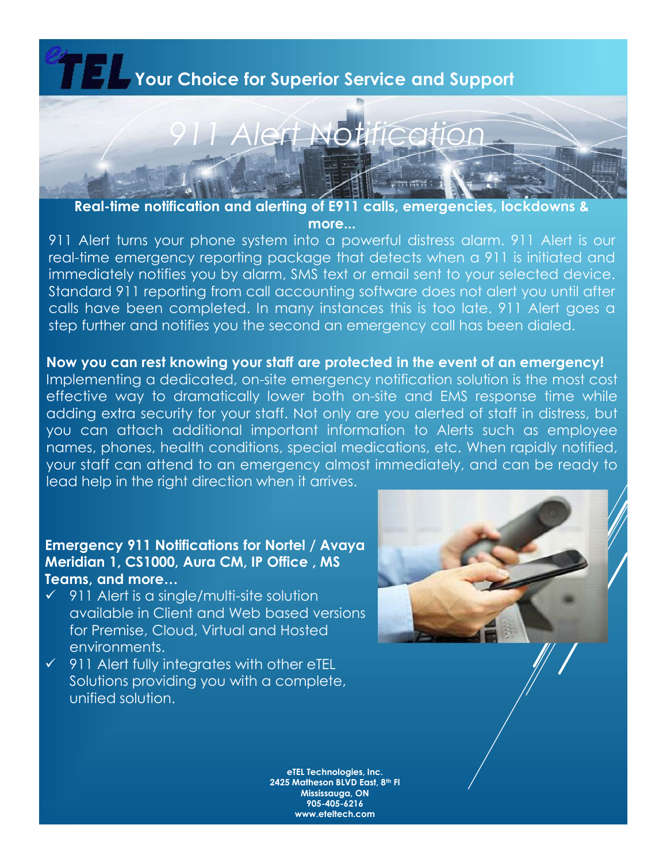## **Your Choice for Superior Service and Support** *911 Alert Notification*

**Real-time notification and alerting of E911 calls, emergencies, lockdowns & more...**

911 Alert turns your phone system into a powerful distress alarm. 911 Alert is our real-time emergency reporting package that detects when a 911 is initiated and immediately notifies you by alarm, SMS text or email sent to your selected device. Standard 911 reporting from call accounting software does not alert you until after calls have been completed. In many instances this is too late. 911 Alert goes a step further and notifies you the second an emergency call has been dialed.

**Now you can rest knowing your staff are protected in the event of an emergency!** Implementing a dedicated, on-site emergency notification solution is the most cost effective way to dramatically lower both on-site and EMS response time while adding extra security for your staff. Not only are you alerted of staff in distress, but you can attach additional important information to Alerts such as employee names, phones, health conditions, special medications, etc. When rapidly notified, your staff can attend to an emergency almost immediately, and can be ready to lead help in the right direction when it arrives.

## **Emergency 911 Notifications for Nortel / Avaya Meridian 1, CS1000, Aura CM, IP Office , MS Teams, and more…**

- $\checkmark$  911 Alert is a single/multi-site solution available in Client and Web based versions for Premise, Cloud, Virtual and Hosted environments.
- $\checkmark$  911 Alert fully integrates with other eTEL Solutions providing you with a complete, unified solution.



**eTEL Technologies, Inc. 2425 Matheson BLVD East, 8th Fl Mississauga, ON 905-405-6216 www.eteltech.com**